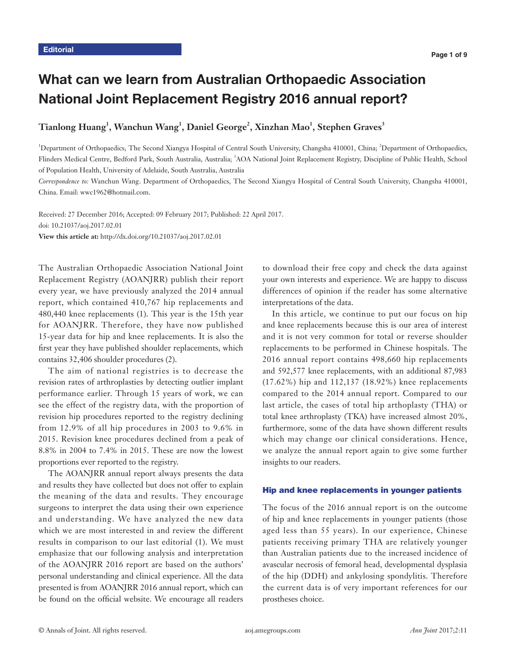# What can we learn from Australian Orthopaedic Association National Joint Replacement Registry 2016 annual report?

## $\operatorname{Tianlong}$  Huang<sup>1</sup>, Wanchun Wang<sup>1</sup>, Daniel George<sup>2</sup>, Xinzhan Mao<sup>1</sup>, Stephen Graves<sup>3</sup>

<sup>1</sup>Department of Orthopaedics, The Second Xiangya Hospital of Central South University, Changsha 410001, China; <sup>2</sup>Department of Orthopaedics, Flinders Medical Centre, Bedford Park, South Australia, Australia; <sup>3</sup>AOA National Joint Replacement Registry, Discipline of Public Health, School of Population Health, University of Adelaide, South Australia, Australia

*Correspondence to:* Wanchun Wang. Department of Orthopaedics, The Second Xiangya Hospital of Central South University, Changsha 410001, China. Email: wwc1962@hotmail.com.

Received: 27 December 2016; Accepted: 09 February 2017; Published: 22 April 2017. doi: 10.21037/aoj.2017.02.01 **View this article at:** http://dx.doi.org/10.21037/aoj.2017.02.01

The Australian Orthopaedic Association National Joint Replacement Registry (AOANJRR) publish their report every year, we have previously analyzed the 2014 annual report, which contained 410,767 hip replacements and 480,440 knee replacements (1). This year is the 15th year for AOANJRR. Therefore, they have now published 15-year data for hip and knee replacements. It is also the first year they have published shoulder replacements, which contains 32,406 shoulder procedures (2).

The aim of national registries is to decrease the revision rates of arthroplasties by detecting outlier implant performance earlier. Through 15 years of work, we can see the effect of the registry data, with the proportion of revision hip procedures reported to the registry declining from 12.9% of all hip procedures in 2003 to 9.6% in 2015. Revision knee procedures declined from a peak of 8.8% in 2004 to 7.4% in 2015. These are now the lowest proportions ever reported to the registry.

The AOANJRR annual report always presents the data and results they have collected but does not offer to explain the meaning of the data and results. They encourage surgeons to interpret the data using their own experience and understanding. We have analyzed the new data which we are most interested in and review the different results in comparison to our last editorial (1). We must emphasize that our following analysis and interpretation of the AOANJRR 2016 report are based on the authors' personal understanding and clinical experience. All the data presented is from AOANJRR 2016 annual report, which can be found on the official website. We encourage all readers

to download their free copy and check the data against your own interests and experience. We are happy to discuss differences of opinion if the reader has some alternative interpretations of the data.

In this article, we continue to put our focus on hip and knee replacements because this is our area of interest and it is not very common for total or reverse shoulder replacements to be performed in Chinese hospitals. The 2016 annual report contains 498,660 hip replacements and 592,577 knee replacements, with an additional 87,983 (17.62%) hip and 112,137 (18.92%) knee replacements compared to the 2014 annual report. Compared to our last article, the cases of total hip arthoplasty (THA) or total knee arthroplasty (TKA) have increased almost 20%, furthermore, some of the data have shown different results which may change our clinical considerations. Hence, we analyze the annual report again to give some further insights to our readers.

### Hip and knee replacements in younger patients

The focus of the 2016 annual report is on the outcome of hip and knee replacements in younger patients (those aged less than 55 years). In our experience, Chinese patients receiving primary THA are relatively younger than Australian patients due to the increased incidence of avascular necrosis of femoral head, developmental dysplasia of the hip (DDH) and ankylosing spondylitis. Therefore the current data is of very important references for our prostheses choice.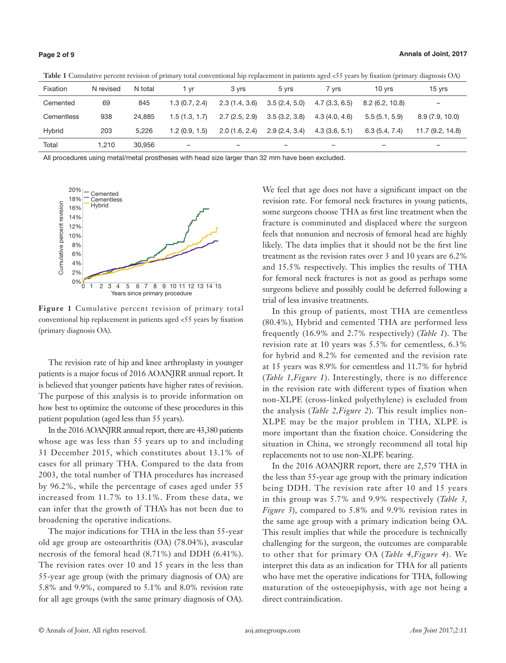| Fixation   | N revised | N total | 1 vr          | 3 vrs                    | 5 vrs         | 7 vrs         | 10 vrs                   | 15 vrs                   |
|------------|-----------|---------|---------------|--------------------------|---------------|---------------|--------------------------|--------------------------|
| Cemented   | 69        | 845     | 1.3(0.7, 2.4) | 2.3(1.4, 3.6)            | 3.5(2.4, 5.0) | 4.7(3.3, 6.5) | 8.2(6.2, 10.8)           |                          |
| Cementless | 938       | 24.885  | 1.5(1.3, 1.7) | 2.7(2.5, 2.9)            | 3.5(3.2, 3.8) | 4.3(4.0, 4.6) | 5.5(5.1, 5.9)            | 8.9(7.9, 10.0)           |
| Hybrid     | 203       | 5.226   | 1.2(0.9, 1.5) | 2.0(1.6, 2.4)            | 2.9(2.4, 3.4) | 4.3(3.6, 5.1) | 6.3(5.4, 7.4)            | 11.7(9.2, 14.8)          |
| Total      | .210      | 30.956  |               | $\overline{\phantom{a}}$ | -             | -             | $\overline{\phantom{a}}$ | $\overline{\phantom{a}}$ |

**Table 1** Cumulative percent revision of primary total conventional hip replacement in patients aged <55 years by fixation (primary diagnosis OA)

All procedures using metal/metal prostheses with head size larger than 32 mm have been excluded.



**Figure 1** Cumulative percent revision of primary total conventional hip replacement in patients aged <55 years by fixation (primary diagnosis OA).

The revision rate of hip and knee arthroplasty in younger patients is a major focus of 2016 AOANJRR annual report. It is believed that younger patients have higher rates of revision. The purpose of this analysis is to provide information on how best to optimize the outcome of these procedures in this patient population (aged less than 55 years).

In the 2016 AOANJRR annual report, there are 43,380 patients whose age was less than 55 years up to and including 31 December 2015, which constitutes about 13.1% of cases for all primary THA. Compared to the data from 2003, the total number of THA procedures has increased by 96.2%, while the percentage of cases aged under 55 increased from 11.7% to 13.1%. From these data, we can infer that the growth of THA's has not been due to broadening the operative indications.

The major indications for THA in the less than 55-year old age group are osteoarthritis (OA) (78.04%), avascular necrosis of the femoral head (8.71%) and DDH (6.41%). The revision rates over 10 and 15 years in the less than 55-year age group (with the primary diagnosis of OA) are 5.8% and 9.9%, compared to 5.1% and 8.0% revision rate for all age groups (with the same primary diagnosis of OA).

We feel that age does not have a significant impact on the revision rate. For femoral neck fractures in young patients, some surgeons choose THA as first line treatment when the fracture is comminuted and displaced where the surgeon feels that nonunion and necrosis of femoral head are highly likely. The data implies that it should not be the first line treatment as the revision rates over 3 and 10 years are 6.2% and 15.5% respectively. This implies the results of THA for femoral neck fractures is not as good as perhaps some surgeons believe and possibly could be deferred following a trial of less invasive treatments.

In this group of patients, most THA are cementless (80.4%), Hybrid and cemented THA are performed less frequently (16.9% and 2.7% respectively) (*Table 1*). The revision rate at 10 years was 5.5% for cementless, 6.3% for hybrid and 8.2% for cemented and the revision rate at 15 years was 8.9% for cementless and 11.7% for hybrid (*Table 1,Figure 1*). Interestingly, there is no difference in the revision rate with different types of fixation when non-XLPE (cross-linked polyethylene) is excluded from the analysis (*Table 2,Figure 2*). This result implies non-XLPE may be the major problem in THA, XLPE is more important than the fixation choice. Considering the situation in China, we strongly recommend all total hip replacements not to use non-XLPE bearing.

In the 2016 AOANJRR report, there are 2,579 THA in the less than 55-year age group with the primary indication being DDH. The revision rate after 10 and 15 years in this group was 5.7% and 9.9% respectively (*Table 3, Figure 3*), compared to 5.8% and 9.9% revision rates in the same age group with a primary indication being OA. This result implies that while the procedure is technically challenging for the surgeon, the outcomes are comparable to other that for primary OA (*Table 4,Figure 4*). We interpret this data as an indication for THA for all patients who have met the operative indications for THA, following maturation of the osteoepiphysis, with age not being a direct contraindication.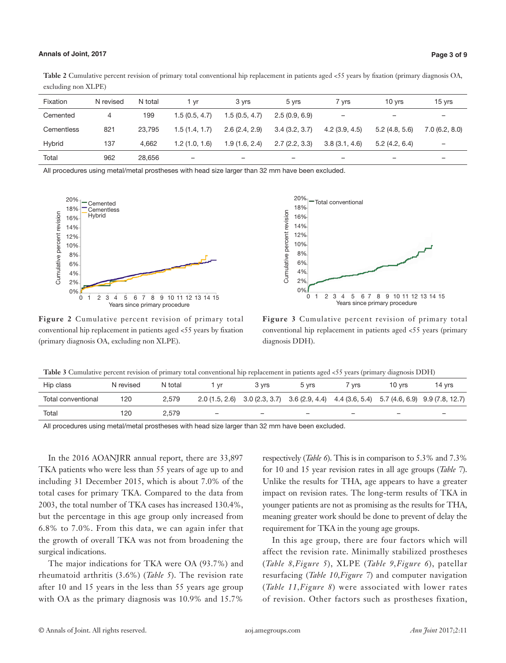### **Annals of Joint, 2017 Page 3 of 9**

Table 2 Cumulative percent revision of primary total conventional hip replacement in patients aged <55 years by fixation (primary diagnosis OA, excluding non XLPE)

| Fixation   | N revised | N total | 1 vr          | 3 vrs         | 5 vrs                    | 7 vrs         | 10 vrs        | 15 yrs                   |
|------------|-----------|---------|---------------|---------------|--------------------------|---------------|---------------|--------------------------|
| Cemented   | 4         | 199     | 1.5(0.5, 4.7) | 1.5(0.5, 4.7) | 2.5(0.9, 6.9)            | -             | -             | $\overline{\phantom{0}}$ |
| Cementless | 821       | 23.795  | 1.5(1.4, 1.7) | 2.6(2.4, 2.9) | 3.4(3.2, 3.7)            | 4.2(3.9, 4.5) | 5.2(4.8, 5.6) | 7.0(6.2, 8.0)            |
| Hybrid     | 137       | 4.662   | 1.2(1.0, 1.6) | 1.9(1.6, 2.4) | 2.7(2.2, 3.3)            | 3.8(3.1, 4.6) | 5.2(4.2, 6.4) | $\overline{\phantom{0}}$ |
| Total      | 962       | 28.656  | -             | -             | $\overline{\phantom{0}}$ | -             | -             | -                        |

All procedures using metal/metal prostheses with head size larger than 32 mm have been excluded.





**Figure 2** Cumulative percent revision of primary total conventional hip replacement in patients aged <55 years by fixation (primary diagnosis OA, excluding non XLPE).

**Figure 3** Cumulative percent revision of primary total conventional hip replacement in patients aged <55 years (primary diagnosis DDH).

| Table 3 Cumulative percent revision of primary total conventional hip replacement in patients aged <55 years (primary diagnosis DDH) |  |  |  |  |  |  |
|--------------------------------------------------------------------------------------------------------------------------------------|--|--|--|--|--|--|
|--------------------------------------------------------------------------------------------------------------------------------------|--|--|--|--|--|--|

| Hip class          | N revised | N total | vr | 3 vrs                    | 5 vrs                    | <b>vrs</b>               | 10 vrs                   | 14 yrs                                                                                           |
|--------------------|-----------|---------|----|--------------------------|--------------------------|--------------------------|--------------------------|--------------------------------------------------------------------------------------------------|
| Total conventional | 120       | 2.579   |    |                          |                          |                          |                          | $2.0(1.5, 2.6)$ $3.0(2.3, 3.7)$ $3.6(2.9, 4.4)$ $4.4(3.6, 5.4)$ $5.7(4.6, 6.9)$ $9.9(7.8, 12.7)$ |
| Total              | 120       | 2.579   | -  | $\overline{\phantom{0}}$ | $\overline{\phantom{0}}$ | $\overline{\phantom{a}}$ | $\overline{\phantom{a}}$ | $\overline{\phantom{0}}$                                                                         |

All procedures using metal/metal prostheses with head size larger than 32 mm have been excluded.

In the 2016 AOANJRR annual report, there are 33,897 TKA patients who were less than 55 years of age up to and including 31 December 2015, which is about 7.0% of the total cases for primary TKA. Compared to the data from 2003, the total number of TKA cases has increased 130.4%, but the percentage in this age group only increased from 6.8% to 7.0%. From this data, we can again infer that the growth of overall TKA was not from broadening the surgical indications.

The major indications for TKA were OA (93.7%) and rheumatoid arthritis (3.6%) (*Table 5*). The revision rate after 10 and 15 years in the less than 55 years age group with OA as the primary diagnosis was 10.9% and 15.7%

respectively (*Table 6*). This is in comparison to 5.3% and 7.3% for 10 and 15 year revision rates in all age groups (*Table 7*). Unlike the results for THA, age appears to have a greater impact on revision rates. The long-term results of TKA in younger patients are not as promising as the results for THA, meaning greater work should be done to prevent of delay the requirement for TKA in the young age groups.

In this age group, there are four factors which will affect the revision rate. Minimally stabilized prostheses (*Table 8,Figure 5*), XLPE (*Table 9,Figure 6*), patellar resurfacing (*Table 10,Figure 7*) and computer navigation (*Table 11,Figure 8*) were associated with lower rates of revision. Other factors such as prostheses fixation,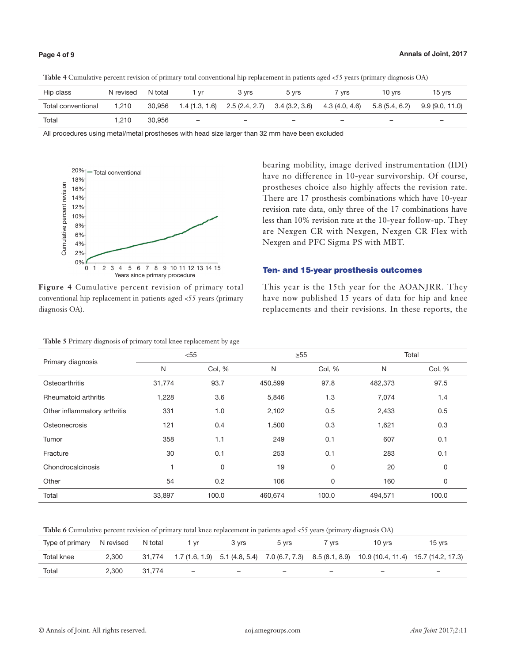| Hip class          | N revised | N total | vr                       | 3 vrs                           | 5 vrs  | <b>vrs</b>     | 10 vrs        | 15 vrs         |
|--------------------|-----------|---------|--------------------------|---------------------------------|--------|----------------|---------------|----------------|
| Total conventional | 1.210     | 30,956  | 1.4 (1.3, 1.6)           | $2.5(2.4, 2.7)$ $3.4(3.2, 3.6)$ |        | 4.3 (4.0, 4.6) | 5.8(5.4, 6.2) | 9.9(9.0, 11.0) |
| Total              | 1.210     | 30.956  | $\overline{\phantom{0}}$ | -                               | $\sim$ | -              | -             | -              |

**Table 4** Cumulative percent revision of primary total conventional hip replacement in patients aged <55 years (primary diagnosis OA)

All procedures using metal/metal prostheses with head size larger than 32 mm have been excluded



**Figure 4** Cumulative percent revision of primary total conventional hip replacement in patients aged <55 years (primary diagnosis OA).

bearing mobility, image derived instrumentation (IDI) have no difference in 10-year survivorship. Of course, prostheses choice also highly affects the revision rate. There are 17 prosthesis combinations which have 10-year revision rate data, only three of the 17 combinations have less than 10% revision rate at the 10-year follow-up. They are Nexgen CR with Nexgen, Nexgen CR Flex with Nexgen and PFC Sigma PS with MBT.

### Ten- and 15-year prosthesis outcomes

This year is the 15th year for the AOANJRR. They have now published 15 years of data for hip and knee replacements and their revisions. In these reports, the

| Table 5 Primary diagnosis of primary total knee replacement by age |        |        |         |           |         |        |  |  |  |  |  |
|--------------------------------------------------------------------|--------|--------|---------|-----------|---------|--------|--|--|--|--|--|
|                                                                    |        | $<$ 55 |         | $\geq 55$ | Total   |        |  |  |  |  |  |
| Primary diagnosis                                                  | N      | Col, % | N       | Col, %    | N       | Col, % |  |  |  |  |  |
| Osteoarthritis                                                     | 31,774 | 93.7   | 450,599 | 97.8      | 482,373 | 97.5   |  |  |  |  |  |
| Rheumatoid arthritis                                               | 1,228  | 3.6    | 5,846   | 1.3       | 7,074   | 1.4    |  |  |  |  |  |
| Other inflammatory arthritis                                       | 331    | 1.0    | 2,102   | 0.5       | 2,433   | 0.5    |  |  |  |  |  |
| Osteonecrosis                                                      | 121    | 0.4    | 1,500   | 0.3       | 1,621   | 0.3    |  |  |  |  |  |
| Tumor                                                              | 358    | 1.1    | 249     | 0.1       | 607     | 0.1    |  |  |  |  |  |
| Fracture                                                           | 30     | 0.1    | 253     | 0.1       | 283     | 0.1    |  |  |  |  |  |
| Chondrocalcinosis                                                  |        | 0      | 19      | 0         | 20      | 0      |  |  |  |  |  |
| Other                                                              | 54     | 0.2    | 106     | 0         | 160     | 0      |  |  |  |  |  |
| Total                                                              | 33,897 | 100.0  | 460,674 | 100.0     | 494,571 | 100.0  |  |  |  |  |  |

**Table 6** Cumulative percent revision of primary total knee replacement in patients aged <55 years (primary diagnosis OA)

| Type of primary | N revised | N total | . vr                     | 3 vrs                    | 5 vrs                    | <b>Vrs</b> | 10 vrs                                                                                          | 15 vrs                   |
|-----------------|-----------|---------|--------------------------|--------------------------|--------------------------|------------|-------------------------------------------------------------------------------------------------|--------------------------|
| Total knee      | 2.300     | 31.774  |                          |                          |                          |            | 1.7 (1.6, 1.9) 5.1 (4.8, 5.4) 7.0 (6.7, 7.3) 8.5 (8.1, 8.9) 10.9 (10.4, 11.4) 15.7 (14.2, 17.3) |                          |
| Total           | 2.300     | 31.774  | $\overline{\phantom{0}}$ | $\overline{\phantom{a}}$ | $\overline{\phantom{a}}$ | -          | $\overline{\phantom{a}}$                                                                        | $\overline{\phantom{a}}$ |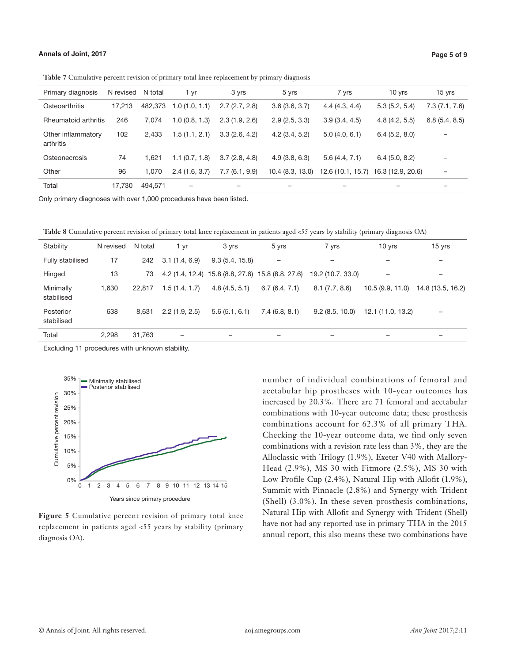| Primary diagnosis               | N revised | N total | 1 yr          | 3 yrs         | 5 yrs           | 7 yrs         | $10$ yrs                            | 15 yrs                   |
|---------------------------------|-----------|---------|---------------|---------------|-----------------|---------------|-------------------------------------|--------------------------|
| Osteoarthritis                  | 17.213    | 482.373 | 1.0(1.0, 1.1) | 2.7(2.7, 2.8) | 3.6(3.6, 3.7)   | 4.4(4.3, 4.4) | 5.3(5.2, 5.4)                       | 7.3(7.1, 7.6)            |
| Rheumatoid arthritis            | 246       | 7.074   | 1.0(0.8, 1.3) | 2.3(1.9, 2.6) | 2.9(2.5, 3.3)   | 3.9(3.4, 4.5) | 4.8(4.2, 5.5)                       | 6.8(5.4, 8.5)            |
| Other inflammatory<br>arthritis | 102       | 2.433   | 1.5(1.1, 2.1) | 3.3(2.6, 4.2) | 4.2(3.4, 5.2)   | 5.0(4.0, 6.1) | 6.4(5.2, 8.0)                       |                          |
| Osteonecrosis                   | 74        | 1.621   | 1.1(0.7, 1.8) | 3.7(2.8, 4.8) | 4.9(3.8, 6.3)   | 5.6(4.4, 7.1) | 6.4(5.0, 8.2)                       |                          |
| Other                           | 96        | 1.070   | 2.4(1.6, 3.7) | 7.7(6.1, 9.9) | 10.4(8.3, 13.0) |               | 12.6 (10.1, 15.7) 16.3 (12.9, 20.6) | $\overline{\phantom{0}}$ |
| Total                           | 17.730    | 494.571 | -             |               |                 |               |                                     |                          |

**Table 7** Cumulative percent revision of primary total knee replacement by primary diagnosis

Only primary diagnoses with over 1,000 procedures have been listed.

**Table 8** Cumulative percent revision of primary total knee replacement in patients aged <55 years by stability (primary diagnosis OA)

| Stability               | N revised | N total | 1 yr          | 3 yrs          | 5 yrs                                             | 7 yrs             | 10 yrs            | $15$ yrs          |
|-------------------------|-----------|---------|---------------|----------------|---------------------------------------------------|-------------------|-------------------|-------------------|
| Fully stabilised        | 17        | 242     | 3.1(1.4, 6.9) | 9.3(5.4, 15.8) | $\overline{\phantom{0}}$                          |                   |                   | -                 |
| Hinged                  | 13        | 73      |               |                | 4.2 (1.4, 12.4) 15.8 (8.8, 27.6) 15.8 (8.8, 27.6) | 19.2 (10.7, 33.0) |                   |                   |
| Minimally<br>stabilised | 1.630     | 22,817  | 1.5(1.4, 1.7) | 4.8(4.5, 5.1)  | 6.7(6.4, 7.1)                                     | 8.1(7.7, 8.6)     | 10.5 (9.9, 11.0)  | 14.8 (13.5, 16.2) |
| Posterior<br>stabilised | 638       | 8.631   | 2.2(1.9, 2.5) | 5.6(5.1, 6.1)  | 7.4(6.8, 8.1)                                     | 9.2(8.5, 10.0)    | 12.1 (11.0, 13.2) |                   |
| Total                   | 2.298     | 31.763  |               |                |                                                   |                   |                   |                   |

Excluding 11 procedures with unknown stability.



**Figure 5** Cumulative percent revision of primary total knee replacement in patients aged <55 years by stability (primary diagnosis OA).

number of individual combinations of femoral and acetabular hip prostheses with 10-year outcomes has increased by 20.3%. There are 71 femoral and acetabular combinations with 10-year outcome data; these prosthesis combinations account for 62.3% of all primary THA. Checking the 10-year outcome data, we find only seven combinations with a revision rate less than 3%, they are the Alloclassic with Trilogy (1.9%), Exeter V40 with Mallory-Head (2.9%), MS 30 with Fitmore (2.5%), MS 30 with Low Profile Cup (2.4%), Natural Hip with Allofit (1.9%), Summit with Pinnacle (2.8%) and Synergy with Trident (Shell) (3.0%). In these seven prosthesis combinations, Natural Hip with Allofit and Synergy with Trident (Shell) have not had any reported use in primary THA in the 2015 annual report, this also means these two combinations have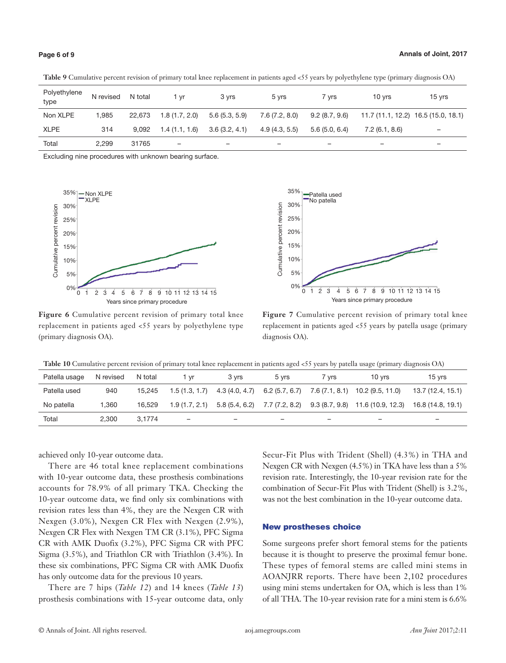|                      |           |         | .             | $-$           |                |                          |                                     | .      |
|----------------------|-----------|---------|---------------|---------------|----------------|--------------------------|-------------------------------------|--------|
| Polyethylene<br>type | N revised | N total | i vr          | 3 yrs         | 5 vrs          | 7 vrs                    | 10 vrs                              | 15 yrs |
| Non XLPE             | 1.985     | 22.673  | 1.8(1.7, 2.0) | 5.6(5.3, 5.9) | 7.6 (7.2, 8.0) | $9.2$ (8.7, $9.6$ )      | 11.7 (11.1, 12.2) 16.5 (15.0, 18.1) |        |
| <b>XLPE</b>          | 314       | 9.092   | 1.4(1.1, 1.6) | 3.6(3.2, 4.1) | 4.9(4.3, 5.5)  | 5.6(5.066.4)             | 7.2(6.1, 8.6)                       | -      |
| Total                | 2.299     | 31765   | -             | -             |                | $\overline{\phantom{0}}$ | $\overline{\phantom{0}}$            | -      |

**Table 9** Cumulative percent revision of primary total knee replacement in patients aged <55 years by polyethylene type (primary diagnosis OA)

Excluding nine procedures with unknown bearing surface.



**Figure 6** Cumulative percent revision of primary total knee replacement in patients aged <55 years by polyethylene type (primary diagnosis OA).



**Figure 7** Cumulative percent revision of primary total knee replacement in patients aged <55 years by patella usage (primary diagnosis OA).

|  | Table 10 Cumulative percent revision of primary total knee replacement in patients aged <55 years by patella usage (primary diagnosis OA) |  |  |  |  |  |
|--|-------------------------------------------------------------------------------------------------------------------------------------------|--|--|--|--|--|
|--|-------------------------------------------------------------------------------------------------------------------------------------------|--|--|--|--|--|

| Patella usage | N revised | N total | 1 vr          | 3 vrs          | 5 vrs                    | 7 vrs          | 10 vrs                                          | 15 vrs            |
|---------------|-----------|---------|---------------|----------------|--------------------------|----------------|-------------------------------------------------|-------------------|
| Patella used  | 940       | 15.245  | 1.5(1.3, 1.7) | 4.3 (4.0, 4.7) | 6.2(5.7, 6.7)            | 7.6 (7.1, 8.1) | 10.2 (9.5, 11.0)                                | 13.7 (12.4, 15.1) |
| No patella    | 1.360     | 16.529  | 1.9(1.7, 2.1) | 5.8 (5.4, 6.2) |                          |                | 7.7 (7.2, 8.2) 9.3 (8.7, 9.8) 11.6 (10.9, 12.3) | 16.8 (14.8, 19.1) |
| Total         | 2.300     | 3.1774  | -             | -              | $\overline{\phantom{a}}$ | -              | -                                               | -                 |

achieved only 10-year outcome data.

There are 46 total knee replacement combinations with 10-year outcome data, these prosthesis combinations accounts for 78.9% of all primary TKA. Checking the 10-year outcome data, we find only six combinations with revision rates less than 4%, they are the Nexgen CR with Nexgen (3.0%), Nexgen CR Flex with Nexgen (2.9%), Nexgen CR Flex with Nexgen TM CR (3.1%), PFC Sigma CR with AMK Duofix (3.2%), PFC Sigma CR with PFC Sigma (3.5%), and Triathlon CR with Triathlon (3.4%). In these six combinations, PFC Sigma CR with AMK Duofix has only outcome data for the previous 10 years.

There are 7 hips (*Table 12*) and 14 knees (*Table 13*) prosthesis combinations with 15-year outcome data, only

Secur-Fit Plus with Trident (Shell) (4.3%) in THA and Nexgen CR with Nexgen (4.5%) in TKA have less than a 5% revision rate. Interestingly, the 10-year revision rate for the combination of Secur-Fit Plus with Trident (Shell) is 3.2%, was not the best combination in the 10-year outcome data.

### New prostheses choice

Some surgeons prefer short femoral stems for the patients because it is thought to preserve the proximal femur bone. These types of femoral stems are called mini stems in AOANJRR reports. There have been 2,102 procedures using mini stems undertaken for OA, which is less than 1% of all THA. The 10-year revision rate for a mini stem is 6.6%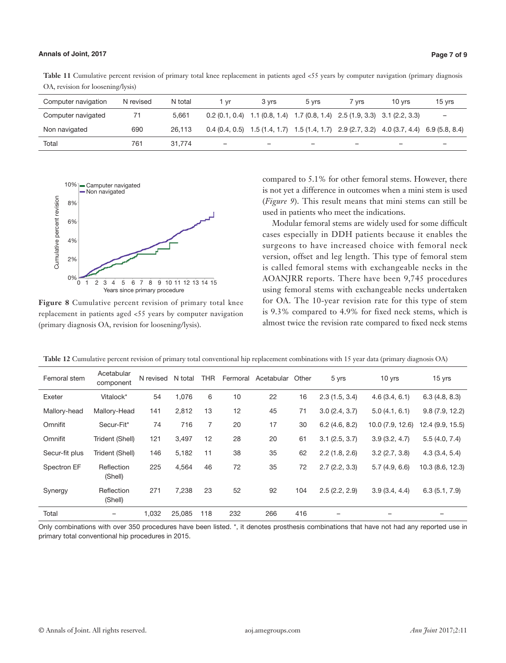Table 11 Cumulative percent revision of primary total knee replacement in patients aged <55 years by computer navigation (primary diagnosis OA, revision for loosening/lysis)

| Computer navigation | N revised | N total | 1 vr                     | 3 vrs | 5 vrs                                                                                                 | 7 vrs                    | 10 vrs | 15 yrs                   |
|---------------------|-----------|---------|--------------------------|-------|-------------------------------------------------------------------------------------------------------|--------------------------|--------|--------------------------|
| Computer navigated  | 71        | 5.661   |                          |       | $0.2$ (0.1, 0.4) 1.1 (0.8, 1.4) 1.7 (0.8, 1.4) 2.5 (1.9, 3.3) 3.1 (2.2, 3.3)                          |                          |        | $\overline{\phantom{0}}$ |
| Non navigated       | 690       | 26.113  |                          |       | 0.4 $(0.4, 0.5)$ 1.5 $(1.4, 1.7)$ 1.5 $(1.4, 1.7)$ 2.9 $(2.7, 3.2)$ 4.0 $(3.7, 4.4)$ 6.9 $(5.8, 8.4)$ |                          |        |                          |
| Total               | 761       | 31.774  | $\overline{\phantom{0}}$ | -     | $\overline{\phantom{0}}$                                                                              | $\overline{\phantom{0}}$ | -      | -                        |



**Figure 8** Cumulative percent revision of primary total knee replacement in patients aged <55 years by computer navigation (primary diagnosis OA, revision for loosening/lysis).

compared to 5.1% for other femoral stems. However, there is not yet a difference in outcomes when a mini stem is used (*Figure 9*). This result means that mini stems can still be used in patients who meet the indications.

Modular femoral stems are widely used for some difficult cases especially in DDH patients because it enables the surgeons to have increased choice with femoral neck version, offset and leg length. This type of femoral stem is called femoral stems with exchangeable necks in the AOANJRR reports. There have been 9,745 procedures using femoral stems with exchangeable necks undertaken for OA. The 10-year revision rate for this type of stem is 9.3% compared to 4.9% for fixed neck stems, which is almost twice the revision rate compared to fixed neck stems

| Femoral stem   | Acetabular<br>component | N revised N total |        | <b>THR</b> | Fermoral | Acetabular | Other | 5 yrs         | 10 yrs           | $15$ yrs         |
|----------------|-------------------------|-------------------|--------|------------|----------|------------|-------|---------------|------------------|------------------|
| Exeter         | Vitalock*               | 54                | 1,076  | 6          | 10       | 22         | 16    | 2.3(1.5, 3.4) | 4.6(3.4, 6.1)    | 6.3(4.8, 8.3)    |
| Mallory-head   | Mallory-Head            | 141               | 2,812  | 13         | 12       | 45         | 71    | 3.0(2.4, 3.7) | 5.0(4.1, 6.1)    | 9.8(7.9, 12.2)   |
| Omnifit        | Secur-Fit*              | 74                | 716    | 7          | 20       | 17         | 30    | 6.2(4.6, 8.2) | 10.0 (7.9, 12.6) | 12.4 (9.9, 15.5) |
| Omnifit        | Trident (Shell)         | 121               | 3,497  | 12         | 28       | 20         | 61    | 3.1(2.5, 3.7) | 3.9(3.2, 4.7)    | 5.5(4.0, 7.4)    |
| Secur-fit plus | Trident (Shell)         | 146               | 5,182  | 11         | 38       | 35         | 62    | 2.2(1.8, 2.6) | 3.2(2.7, 3.8)    | 4.3(3.4, 5.4)    |
| Spectron EF    | Reflection<br>(Shell)   | 225               | 4,564  | 46         | 72       | 35         | 72    | 2.7(2.2, 3.3) | 5.7(4.9, 6.6)    | 10.3(8.6, 12.3)  |
| Synergy        | Reflection<br>(Shell)   | 271               | 7,238  | 23         | 52       | 92         | 104   | 2.5(2.2, 2.9) | 3.9(3.4, 4.4)    | 6.3(5.1, 7.9)    |
| Total          |                         | 1,032             | 25,085 | 118        | 232      | 266        | 416   |               |                  |                  |

**Table 12** Cumulative percent revision of primary total conventional hip replacement combinations with 15 year data (primary diagnosis OA)

Only combinations with over 350 procedures have been listed. \*, it denotes prosthesis combinations that have not had any reported use in primary total conventional hip procedures in 2015.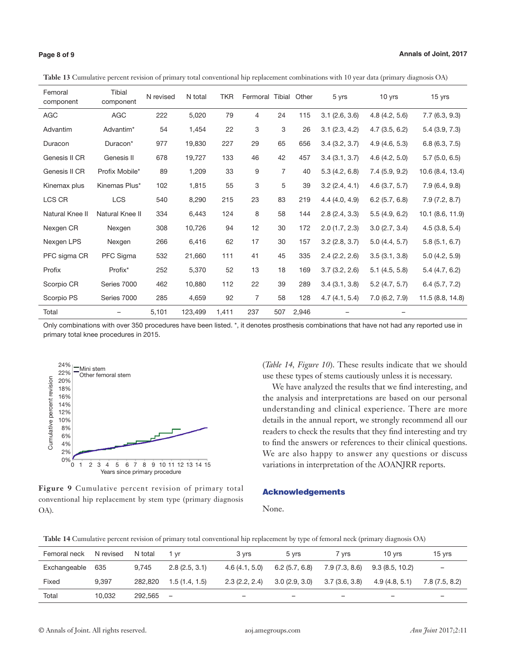**Table 13** Cumulative percent revision of primary total conventional hip replacement combinations with 10 year data (primary diagnosis OA)

| Femoral<br>component | <b>Tibial</b><br>component | N revised | N total | <b>TKR</b> | Fermoral Tibial |                | Other | 5 yrs            | 10 yrs        | 15 yrs           |
|----------------------|----------------------------|-----------|---------|------------|-----------------|----------------|-------|------------------|---------------|------------------|
| <b>AGC</b>           | <b>AGC</b>                 | 222       | 5,020   | 79         | 4               | 24             | 115   | $3.1$ (2.6, 3.6) | 4.8(4.2, 5.6) | 7.7(6.3, 9.3)    |
| Advantim             | Advantim*                  | 54        | 1,454   | 22         | 3               | 3              | 26    | 3.1(2.3, 4.2)    | 4.7(3.5, 6.2) | 5.4(3.9, 7.3)    |
| Duracon              | Duracon*                   | 977       | 19,830  | 227        | 29              | 65             | 656   | 3.4(3.2, 3.7)    | 4.9(4.6, 5.3) | 6.8(6.3, 7.5)    |
| Genesis II CR        | Genesis II                 | 678       | 19,727  | 133        | 46              | 42             | 457   | 3.4(3.1, 3.7)    | 4.6(4.2, 5.0) | 5.7(5.0, 6.5)    |
| Genesis II CR        | Profix Mobile*             | 89        | 1,209   | 33         | 9               | $\overline{7}$ | 40    | 5.3(4.2, 6.8)    | 7.4(5.9, 9.2) | 10.6 (8.4, 13.4) |
| Kinemax plus         | Kinemas Plus*              | 102       | 1,815   | 55         | 3               | 5              | 39    | 3.2(2.4, 4.1)    | 4.6(3.7, 5.7) | 7.9(6.4, 9.8)    |
| LCS CR               | <b>LCS</b>                 | 540       | 8,290   | 215        | 23              | 83             | 219   | 4.4(4.0, 4.9)    | 6.2(5.7, 6.8) | 7.9(7.2, 8.7)    |
| Natural Knee II      | Natural Knee II            | 334       | 6,443   | 124        | 8               | 58             | 144   | 2.8(2.4, 3.3)    | 5.5(4.9, 6.2) | 10.1 (8.6, 11.9) |
| Nexgen CR            | Nexgen                     | 308       | 10,726  | 94         | 12              | 30             | 172   | 2.0(1.7, 2.3)    | 3.0(2.7, 3.4) | 4.5(3.8, 5.4)    |
| Nexgen LPS           | Nexgen                     | 266       | 6,416   | 62         | 17              | 30             | 157   | $3.2$ (2.8, 3.7) | 5.0(4.4, 5.7) | 5.8(5.1, 6.7)    |
| PFC sigma CR         | PFC Sigma                  | 532       | 21,660  | 111        | 41              | 45             | 335   | 2.4(2.2, 2.6)    | 3.5(3.1, 3.8) | 5.0(4.2, 5.9)    |
| Profix               | Profix*                    | 252       | 5,370   | 52         | 13              | 18             | 169   | 3.7(3.2, 2.6)    | 5.1(4.5, 5.8) | 5.4(4.7, 6.2)    |
| Scorpio CR           | Series 7000                | 462       | 10,880  | 112        | 22              | 39             | 289   | 3.4(3.1, 3.8)    | 5.2(4.7, 5.7) | 6.4(5.7, 7.2)    |
| Scorpio PS           | Series 7000                | 285       | 4,659   | 92         | $\overline{7}$  | 58             | 128   | 4.7(4.1, 5.4)    | 7.0(6.2, 7.9) | 11.5 (8.8, 14.8) |
| Total                |                            | 5,101     | 123,499 | 1,411      | 237             | 507            | 2,946 |                  |               |                  |

Only combinations with over 350 procedures have been listed. \*, it denotes prosthesis combinations that have not had any reported use in primary total knee procedures in 2015.



**Figure 9** Cumulative percent revision of primary total conventional hip replacement by stem type (primary diagnosis OA).

(*Table 14, Figure 10*). These results indicate that we should use these types of stems cautiously unless it is necessary.

We have analyzed the results that we find interesting, and the analysis and interpretations are based on our personal understanding and clinical experience. There are more details in the annual report, we strongly recommend all our readers to check the results that they find interesting and try to find the answers or references to their clinical questions. We are also happy to answer any questions or discuss variations in interpretation of the AOANJRR reports.

### Acknowledgements

None.

**Table 14** Cumulative percent revision of primary total conventional hip replacement by type of femoral neck (primary diagnosis OA)

| Femoral neck | N revised | N total | 1 vr                     | 3 vrs         | 5 vrs                    | 7 vrs          | 10 vrs                   | 15 vrs         |
|--------------|-----------|---------|--------------------------|---------------|--------------------------|----------------|--------------------------|----------------|
| Exchangeable | 635       | 9.745   | 2.8(2.5, 3.1)            | 4.6(4.1, 5.0) | 6.2(5.7, 6.8)            | 7.9 (7.3, 8.6) | 9.3(8.5, 10.2)           | -              |
| Fixed        | 9.397     | 282.820 | 1.5(1.4, 1.5)            | 2.3(2.2, 2.4) | 3.0(2.9, 3.0)            | 3.7(3.6, 3.8)  | 4.9(4.8, 5.1)            | 7.8 (7.5, 8.2) |
| Total        | 10.032    | 292.565 | $\overline{\phantom{0}}$ | -             | $\overline{\phantom{0}}$ | -              | $\overline{\phantom{0}}$ | -              |